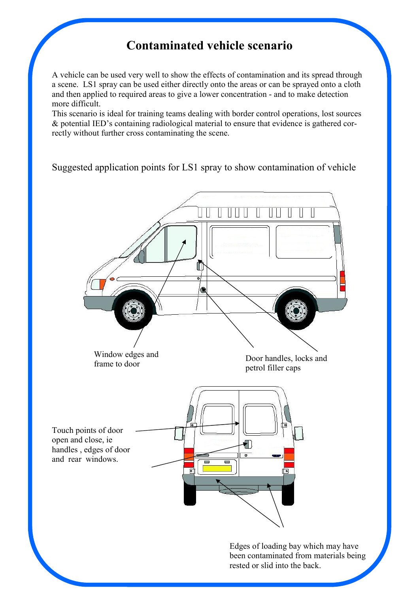## Contaminated vehicle scenario

A vehicle can be used very well to show the effects of contamination and its spread through a scene. LS1 spray can be used either directly onto the areas or can be sprayed onto a cloth and then applied to required areas to give a lower concentration - and to make detection more difficult.

This scenario is ideal for training teams dealing with border control operations, lost sources & potential IED's containing radiological material to ensure that evidence is gathered correctly without further cross contaminating the scene.

## Suggested application points for LS1 spray to show contamination of vehicle

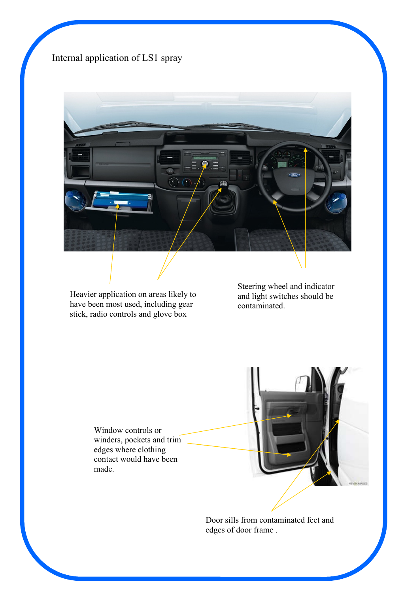## Internal application of LS1 spray



Heavier application on areas likely to have been most used, including gear stick, radio controls and glove box

Steering wheel and indicator and light switches should be contaminated.

Window controls or winders, pockets and trim edges where clothing contact would have been made.



Door sills from contaminated feet and edges of door frame .